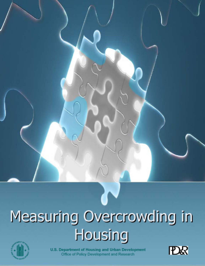

# Measuring Overcrowding in **Housing**



U.S. Department of Housing and Urban Development Office of Policy Development and Research

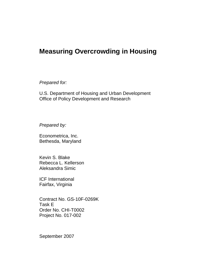# **Measuring Overcrowding in Housing**

*Prepared for:* 

U.S. Department of Housing and Urban Development Office of Policy Development and Research

*Prepared by:* 

Econometrica, Inc. Bethesda, Maryland

Kevin S. Blake Rebecca L. Kellerson Aleksandra Simic

ICF International Fairfax, Virginia

Contract No. GS-10F-0269K Task E Order No. CHI-T0002 Project No. 017-002

September 2007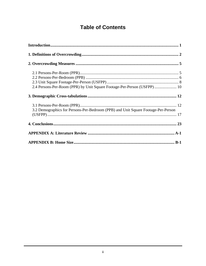# **Table of Contents**

| 2.4 Persons-Per-Room (PPR) by Unit Square Footage-Per-Person (USFPP) 10           |
|-----------------------------------------------------------------------------------|
|                                                                                   |
| 3.2 Demographics for Persons-Per-Bedroom (PPB) and Unit Square Footage-Per-Person |
|                                                                                   |
|                                                                                   |
|                                                                                   |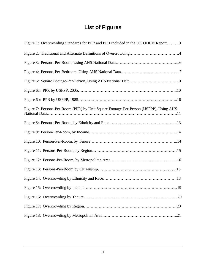# **List of Figures**

| Figure 1: Overcrowding Standards for PPR and PPB Included in the UK ODPM Report3      |
|---------------------------------------------------------------------------------------|
|                                                                                       |
|                                                                                       |
|                                                                                       |
|                                                                                       |
|                                                                                       |
|                                                                                       |
| Figure 7: Persons-Per-Room (PPR) by Unit Square Footage-Per-Person (USFPP), Using AHS |
|                                                                                       |
|                                                                                       |
|                                                                                       |
|                                                                                       |
|                                                                                       |
|                                                                                       |
|                                                                                       |
|                                                                                       |
|                                                                                       |
|                                                                                       |
|                                                                                       |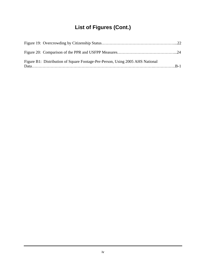# **List of Figures (Cont.)**

| Figure B1: Distribution of Square Footage-Per-Person, Using 2005 AHS National |  |
|-------------------------------------------------------------------------------|--|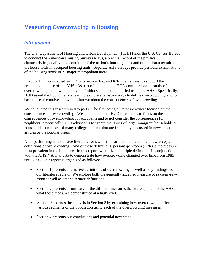## **Measuring Overcrowding in Housing**

## *Introduction*

The U.S. Department of Housing and Urban Development (HUD) funds the U.S. Census Bureau to conduct the American Housing Survey (AHS), a biennial record of the physical characteristics, quality, and condition of the nation's housing stock and of the characteristics of the households in occupied housing units. Separate AHS surveys provide periodic examinations of the housing stock in 21 major metropolitan areas.

In 2006, HUD contracted with Econometrica, Inc. and ICF International to support the production and use of the AHS. As part of that contract, HUD commissioned a study of overcrowding and how alternative definitions could be quantified using the AHS. Specifically, HUD asked the Econometrica team to explore alternative ways to define overcrowding, and to base those alternatives on what is known about the consequences of overcrowding.

We conducted this research in two parts. The first being a literature review focused on the consequences of overcrowding. We should note that HUD directed us to focus on the consequences of overcrowding for occupants and to not consider the consequences for neighbors. Specifically HUD advised us to ignore the issues of large immigrant households or households composed of many college students that are frequently discussed in newspaper articles or the popular press.

After performing an extensive literature review, it is clear that there are only a few accepted definitions of overcrowding. And of these definitions, persons-per-room (PPR) is the measure most prevalent in the literature. In this report, we utilized multiple definitions in conjunction with the AHS National data to demonstrate how overcrowding changed over time from 1985 until 2005. Our report is organized as follows:

- Section 1 presents alternative definitions of overcrowding as well as key findings from our literature review. We explore both the generally accepted measure of *persons-perroom* as well as other alternate definitions.
- Section 2 presents a summary of the different measures that were applied to the AHS and what these measures demonstrated at a high level.
- Section 3 extends the analysis in Section 2 by examining how overcrowding affects various segments of the population using each of the overcrowding measures.
- Section 4 presents our conclusions and potential next steps.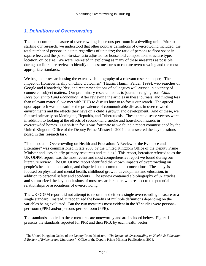## *1. Definitions of Overcrowding*

The most common measure of overcrowding is persons-per-room in a dwelling unit. Prior to starting our research, we understood that other popular definitions of overcrowding included: the total number of persons in a unit, regardless of unit size; the ratio of persons to floor space in square feet; and the person-to-size ratio adjusted for household composition, structure type, location, or lot size. We were interested in exploring as many of these measures as possible during our literature review to identify the best measures to capture overcrowding and the most appropriate standards.

We began our research using the extensive bibliography of a relevant research paper, "The Impact of Homeownership on Child Outcomes" (Haurin, Haurin, Parcel, 1999), web searches of Google and KnowledgePlex, and recommendations of colleagues well-versed in a variety of connected subject matters. Our preliminary research led us to journals ranging from *Child Development* to *Land Economics*. After reviewing the articles in these journals, and finding less than relevant material, we met with HUD to discuss how to re-focus our search. The agreed upon approach was to examine the prevalence of communicable diseases in overcrowded environments and the effects they have on a child's growth and development. And of these, we focused primarily on Meningitis, Hepatitis, and Tuberculosis. These three disease vectors were in addition to looking at the effects of second-hand smoke and household hazards in overcrowded homes. Our shift in focus was fortunate as we found a report commissioned by the United Kingdom Office of the Deputy Prime Minster in 2004 that answered the key questions posed in this research task.

"The Impact of Overcrowding on Health and Education: A Review of the Evidence and Literature" was commissioned in late 2003 by the United Kingdom Office of the Deputy Prime Minister and uses chiefly primary resources and studies.<sup>1</sup> This report, hereafter referred to as the UK ODPM report, was the most recent and most comprehensive report we found during our literature review. The UK ODPM report identified the known impacts of overcrowding on people's health and education, and dispelled some common misconceptions. The analysis focused on physical and mental health, childhood growth, development and education, in addition to personal safety and accidents. The review contained a bibliography of 97 articles and summarized the key conclusions of most research reports with respect to the potential relationships or associations of overcrowding.

The UK ODPM report did not attempt to recommend either a single overcrowding measure or a single standard. Instead, it recognized the benefits of multiple definitions depending on the variables being evaluated. But the two measures most evident in the 97 studies were personsper-room (PPR) and/or persons-per-bedroom (PPB).

The standards applied to these measures are noteworthy and are included below. Figure 1 presents the standards reported for PPR and then PPB, by each health vector.

<sup>&</sup>lt;sup>1</sup> The United Kingdom Office of the Deputy Prime Minister. *"The Impact of Overcrowding on Health & Education: A Review of Evidence and Literature."* Office of the Deputy Prime Minister Publications, 2004.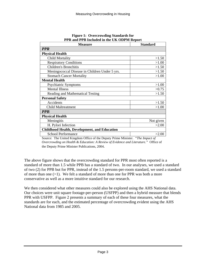| <b>Measure</b>                                      | <b>Standard</b> |
|-----------------------------------------------------|-----------------|
| <b>PPR</b>                                          |                 |
| <b>Physical Health</b>                              |                 |
| <b>Child Mortality</b>                              | >1.50           |
| <b>Respiratory Conditions</b>                       | >1.00           |
| <b>Children's Bronchitis</b>                        | >1.50           |
| Meningococcal Disease in Children Under 5 yrs.      | >1.50           |
| <b>Stomach Cancer Mortality</b>                     | >1.00           |
| <b>Mental Health</b>                                |                 |
| Psychiatric Symptoms                                | >1.00           |
| <b>Mental Illness</b>                               | >0.75           |
| Reading and Mathematical Testing                    | >1.50           |
| <b>Personal Safety</b>                              |                 |
| Accidents                                           | >1.50           |
| <b>Child Maltreatment</b>                           | >1.00           |
| <b>PPB</b>                                          |                 |
| <b>Physical Health</b>                              |                 |
| Meningitis                                          | Not given       |
| H. Pylori Infection                                 | >2.00           |
| <b>Childhood Health, Development, and Education</b> |                 |
| <b>School Performance</b>                           | >2.00           |

#### **Figure 1: Overcrowding Standards for PPR and PPB Included in the UK ODPM Report**

Source: The United Kingdom Office of the Deputy Prime Minister. *"The Impact of Overcrowding on Health & Education: A Review of Evidence and Literature."* Office of the Deputy Prime Minister Publications, 2004.

The above figure shows that the overcrowding standard for PPR most often reported is a standard of more than 1.5 while PPB has a standard of two. In our analyses, we used a standard of two (2) for PPB but for PPR, instead of the 1.5 persons-per-room standard, we used a standard of more than one (>1). We felt a standard of more than one for PPR was both a more conservative as well as a more intuitive standard for our research.

We then considered what other measures could also be explored using the AHS National data. Our choices were unit square footage-per-person (USFPP) and then a hybrid measure that blends PPR with USFPP. Figure 2 presents a summary of each of these four measures, what the standards are for each, and the estimated percentage of overcrowding evident using the AHS National data from 1985 and 2005.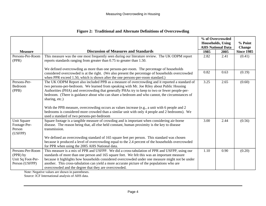|                                                                     |                                                                                                                                                                                                                                                                                                                                                                                                                                                                                                                                                                                                                        | % of Overcrowded<br><b>Households</b> , Using |                          | % Point           |  |
|---------------------------------------------------------------------|------------------------------------------------------------------------------------------------------------------------------------------------------------------------------------------------------------------------------------------------------------------------------------------------------------------------------------------------------------------------------------------------------------------------------------------------------------------------------------------------------------------------------------------------------------------------------------------------------------------------|-----------------------------------------------|--------------------------|-------------------|--|
|                                                                     |                                                                                                                                                                                                                                                                                                                                                                                                                                                                                                                                                                                                                        |                                               | <b>AHS National Data</b> |                   |  |
| <b>Measure</b>                                                      | <b>Discussion of Measures and Standards</b>                                                                                                                                                                                                                                                                                                                                                                                                                                                                                                                                                                            | 1985                                          | 2005                     | <b>Since 1985</b> |  |
| Persons-Per-Room<br>(PPR)                                           | This measure was the one most frequently seen during our literature review. The UK ODPM report<br>reports standards ranging from greater than 0.75 to greater than 1.50.                                                                                                                                                                                                                                                                                                                                                                                                                                               | 2.82                                          | 2.41                     | (0.41)            |  |
|                                                                     | We defined overcrowding as more than one persons-per-room. The percentage of households<br>considered overcrowded is at the right. (We also present the percentage of households overcrowded<br>when PPR exceed 1.50, which is shown after the one persons-per-room standard.)                                                                                                                                                                                                                                                                                                                                         | 0.82                                          | 0.63                     | (0.19)            |  |
| Persons-Per-<br>Bedroom<br>(PPB)                                    | The UK ODPM Report also included PPB as a measure of overcrowding and it reported a standard of<br>two persons-per-bedroom. We learned from speaking with Mr. Joe Riley about Public Housing<br>Authorities (PHA) and overcrowding that generally PHAs try to keep to two or fewer people-per-<br>bedroom. (There is guidance about who can share a bedroom and who cannot, the circumstances of<br>sharing, etc.)<br>With the PPB measure, overcrowding occurs as values increase (e.g., a unit with 6 people and 2<br>bedrooms is considered more crowded than a similar unit with only 4 people and 2 bedrooms). We | 3.25                                          | 2.65                     | (0.60)            |  |
|                                                                     | used a standard of two persons-per-bedroom                                                                                                                                                                                                                                                                                                                                                                                                                                                                                                                                                                             |                                               |                          |                   |  |
| Unit Square<br>Footage-Per-<br>Person<br>(USFPP)                    | Square footage is a tangible measure of crowding and is important when considering air-borne<br>disease. The reason being that, all else held constant, human proximity is the key to disease<br>transmission.                                                                                                                                                                                                                                                                                                                                                                                                         | 3.00                                          | 2.44                     | (0.56)            |  |
|                                                                     | We defined an overcrowding standard of 165 square feet per person. This standard was chosen<br>because it produced a level of overcrowding equal to the 2.4 percent of the households overcrowded<br>for PPR when using the 2005 AHS National data.                                                                                                                                                                                                                                                                                                                                                                    |                                               |                          |                   |  |
| Persons-Per-Room<br>(PPR) by<br>Unit Sq Foot-Per-<br>Person (USFPP) | This measure is a mix of PPR and USFPP. We did a cross-tabulation of PPR and USFPP, using our<br>standards of more than one person and 165 square feet. We felt this was an important measure<br>because it highlights how households considered overcrowded under one measure might not be under<br>another. This cross-tabulation can yield a more accurate picture of the populations who are<br>overcrowded and the degree that they are overcrowded.                                                                                                                                                              | 1.10                                          | 0.90                     | (0.20)            |  |

#### **Figure 2: Traditional and Alternate Definitions of Overcrowding**

Note: Negative values are shown in parentheses.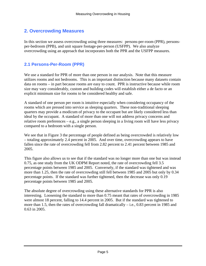### **2. Overcrowding Measures**

In this section we assess overcrowding using three measures: persons-per-room (PPR), personsper-bedroom (PPB), and unit square footage-per-person (USFPP). We also analyze overcrowding using an approach that incorporates both the PPR and the USFPP measures.

#### **2.1 Persons-Per-Room (PPR)**

We use a standard for PPR of more than one person in our analysis. Note that this measure utilizes rooms and not bedrooms. This is an important distinction because many datasets contain data on rooms – in part because rooms are easy to count. PPR is instructive because while room size may vary considerably, custom and building codes will establish either a de facto or an explicit minimum size for rooms to be considered healthy and safe.

A standard of one person per room is intuitive especially when considering occupancy of the rooms which are pressed into service as sleeping quarters. These non-traditional sleeping quarters may provide a modicum of privacy to the occupant but are likely considered less than ideal by the occupant. A standard of more than one will not address privacy concerns and relative room preferences – e.g., a single person sleeping in a living room will have less privacy compared to a bedroom with a single person.

We see that in Figure 3 the percentage of people defined as being overcrowded is relatively low – totaling approximately 2.4 percent in 2005. And over time, overcrowding appears to have fallen since the rate of overcrowding fell from 2.82 percent to 2.41 percent between 1985 and 2005.

This figure also allows us to see that if the standard was no longer more than one but was instead 0.75, as one study from the UK ODPM Report noted, the rate of overcrowding fell 3.5 percentage points between 1985 and 2005. Conversely, if the standard was tightened and was more than 1.25, then the rate of overcrowding still fell between 1985 and 2005 but only by 0.34 percentage points. If the standard was further tightened, then the decrease was only 0.19 percentage points between 1985 and 2005.

The absolute degree of overcrowding using these alternative standards for PPR is also interesting. Loosening the standard to more than 0.75 meant that rates of overcrowding in 1985 were almost 18 percent, falling to 14.4 percent in 2005. But if the standard was tightened to more than 1.5, then the rates of overcrowding fall dramatically  $-$  i.e., 0.83 percent in 1985 and 0.63 in 2005.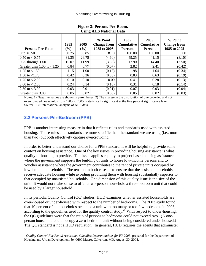| <b>Persons-Per-Room</b>         | 1985<br>$\left( \frac{0}{0} \right)$ | 2005<br>$\left( \frac{0}{0} \right)$ | % Point<br><b>Change from</b><br>1985 to 2005 | 1985<br><b>Cumulative</b><br><b>Percent</b> | 2005<br><b>Cumulative</b><br><b>Percent</b> | $%$ Point<br><b>Change from</b><br>1985 to 2005 |
|---------------------------------|--------------------------------------|--------------------------------------|-----------------------------------------------|---------------------------------------------|---------------------------------------------|-------------------------------------------------|
| 0 to $< 0.50$                   | 50.75                                | 58.85                                | 8.10                                          | 100.00                                      | 100.00                                      | 0.00                                            |
| $0.50 \text{ to } < 0.75$       | 31.35                                | 26.75                                | (4.60)                                        | 49.25                                       | 41.15                                       | (8.10)                                          |
| $0.75$ through $1.00$           | 15.07                                | 11.99                                | (3.08)                                        | 17.90                                       | 14.40                                       | (3.50)                                          |
| Greater than $1.00$ to $< 1.25$ | 0.84                                 | 0.77                                 | (0.07)                                        | 2.82                                        | 2.41                                        | (0.42)                                          |
| 1.25 to $< 1.50$                | 1.15                                 | 1.00                                 | (0.15)                                        | 1.98                                        | 1.64                                        | (0.34)                                          |
| 1.50 to $<$ 1.75                | 0.42                                 | 0.36                                 | (0.06)                                        | 0.83                                        | 0.63                                        | (0.19)                                          |
| 1.75 to $< 2.00$                | 0.10                                 | 0.10                                 | 0.00                                          | 0.41                                        | 0.28                                        | (0.13)                                          |
| 2.00 to $< 2.50$                | 0.24                                 | 0.14                                 | (0.10)                                        | 0.31                                        | 0.18                                        | (0.14)                                          |
| 2.50 to $<$ 3.00                | 0.03                                 | 0.01                                 | (0.01)                                        | 0.07                                        | 0.03                                        | (0.04)                                          |
| Greater than 3.00               | 0.05                                 | 0.02                                 | (0.03)                                        | 0.05                                        | 0.02                                        | (0.03)                                          |

#### **Figure 3: Persons-Per-Room, Using AHS National Data**

Notes: 1) Negative values are shown in parentheses. 2) The change in the distribution of overcrowded and not overcrowded households from 1985 to 2005 is statistically significant at the five percent significance level. Source: ICF International analysis of AHS data.

## **2.2 Persons-Per-Bedroom (PPB)**

PPB is another interesting measure in that it reflects rules and standards used with assisted housing. Those rules and standards are more specific than the standard we are using (i.e., more than two) but both effectively capture overcrowding.

In order to better understand our choice for a PPB standard, it will be helpful to provide some context on housing assistance. One of the key issues in providing housing assistance is what quality of housing to provide. This issue applies equally to project-based housing assistance where the government supports the building of units to house low-income persons and to voucher assistance where the government contributes to the rent of private units occupied by low-income households. The tension in both cases is to ensure that the assisted households receive adequate housing while avoiding providing them with housing substantially superior to that occupied by unassisted households. One dimension of this quality issue is the size of the unit. It would not make sense to offer a two-person household a three-bedroom unit that could be used by a larger household.

In its periodic Quality Control (QC) studies, HUD examines whether assisted households are over-housed or under-housed with respect to the number of bedrooms. The 2003 study found that 10 percent of all households occupied a unit with too many or too few bedrooms in 2003, according to the guidelines used for the quality control study.<sup>2</sup> With respect to under-housing, the QC guidelines were that the ratio of persons to bedrooms could not exceed two. (A oneperson household could occupy a zero-bedroom unit without being considered under-housed.) The QC standard is not a HUD regulation. In general, HUD requires the agents that administer

<sup>2</sup>*Quality Control For Rental Assistance Subsidies Determinations for FY 2003*, prepared for the Department of Housing and Urban Development, by ORC Macro, Calverton, MD, August 30, 2004.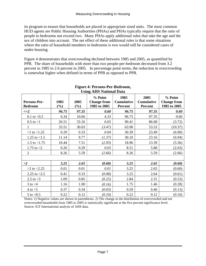its program to ensure that households are placed in appropriate sized units. The most common HUD agents are Public Housing Authorities (PHAs) and PHAs typically require that the ratio of people to bedrooms not exceed two. Many PHAs apply additional rules that take the age and the sex of children into account. The net effect of these additional rules is that some situations where the ratio of household members to bedrooms is two would still be considered cases of under-housing.

Figure 4 demonstrates that overcrowding declined between 1985 and 2005, as quantified by PPB. The share of households with more than two people-per-bedroom decreased from 3.2 percent in 1985 to 2.6 percent in 2005. In percentage point terms, the reduction in overcrowding is somewhat higher when defined in terms of PPB as opposed to PPR.

| Persons-Per-<br><b>Bedroom</b> | 1985<br>$(\%)$ | 2005<br>$(\%)$ | % Point<br><b>Change from</b><br>1985 to 2005 | 1985<br><b>Cumulative</b><br><b>Percent</b> | 2005<br><b>Cumulative</b><br><b>Percent</b> | % Point<br><b>Change from</b><br>1985 to 2005 |
|--------------------------------|----------------|----------------|-----------------------------------------------|---------------------------------------------|---------------------------------------------|-----------------------------------------------|
| $\leq$ $=$ $2$                 | 96.75          | 97.35          | 0.60                                          | 96.75                                       | 97.35                                       | 0.60                                          |
| 0.1 to $< 0.5$                 | 6.34           | 10.66          | 4.33                                          | 96.75                                       | 97.35                                       | 0.60                                          |
| $0.5$ to $<$ 1                 | 26.51          | 33.16          | 6.65                                          | 90.41                                       | 86.68                                       | (3.72)                                        |
| 1                              | 33.51          | 30.03          | (3.47)                                        | 63.90                                       | 53.53                                       | (10.37)                                       |
| $>1$ to $<1.25$                | 0.29           | 0.33           | 0.04                                          | 30.39                                       | 23.49                                       | (6.90)                                        |
| 1.25 to $<1.5$                 | 11.14          | 9.77           | (1.37)                                        | 30.10                                       | 23.16                                       | (6.94)                                        |
| 1.5 to $<$ 1.75                | 10.44          | 7.51           | (2.93)                                        | 18.96                                       | 13.39                                       | (5.56)                                        |
| 1.75 to $<$ 2                  | 0.26           | 0.29           | 0.03                                          | 8.51                                        | 5.88                                        | (2.63)                                        |
| $\overline{2}$                 | 8.26           | 5.59           | (2.66)                                        | 8.26                                        | 5.59                                        | (2.66)                                        |
|                                |                |                |                                               |                                             |                                             |                                               |
| >2                             | 3.25           | 2.65           | (0.60)                                        | 3.25                                        | 2.65                                        | (0.60)                                        |
| $>2$ to $<2.25$                | 0.01           | 0.01           | 0.01                                          | 3.25                                        | 2.65                                        | (0.60)                                        |
| 2.25 to $< 2.5$                | 0.41           | 0.33           | (0.08)                                        | 3.25                                        | 2.64                                        | (0.61)                                        |
| 2.5 to $<$ 3                   | 1.09           | 0.85           | (0.25)                                        | 2.84                                        | 2.31                                        | (0.53)                                        |
| $3$ to $<$ 4                   | 1.16           | 1.00           | (0.16)                                        | 1.75                                        | 1.46                                        | (0.28)                                        |
| $4$ to $<$ 5                   | 0.37           | 0.34           | (0.03)                                        | 0.59                                        | 0.46                                        | (0.13)                                        |
| $5$ to $< 8.5$                 | 0.22           | 0.12           | (0.10)                                        | 0.22                                        | 0.12                                        | (0.10)                                        |

#### **Figure 4: Persons-Per-Bedroom, Using AHS National Data**

Notes: 1) Negative values are shown in parentheses. 2) The change in the distribution of overcrowded and not overcrowded households from 1985 to 2005 is statistically significant at the five percent significance level. Source: ICF International analysis of AHS data.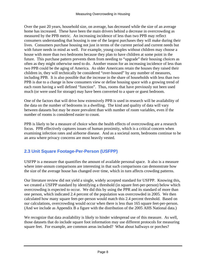Over the past 20 years, household size, on average, has decreased while the size of an average home has increased. These have been the main drivers behind a decrease in overcrowding as measured by the PPB metric. An increasing incidence of less than two PPB may reflect consumers understanding that housing is one of the largest purchases they will make during their lives. Consumers purchase housing not just in terms of the current period and current needs but with future needs in mind as well. For example, young couples without children may choose a house with more than two bedrooms because they plan to have children at some point in the future. This purchase pattern prevents them from needing to "upgrade" their housing choices as often as they might otherwise need to do. Another reason for an increasing incidence of less than two PPB could be the aging of America. As older Americans retain the houses they raised their children in, they will technically be considered "over-housed" by any number of measures, including PPB. It is also possible that the increase in the share of households with less than two PPB is due to a change in how consumers view or define housing space with a growing trend of each room having a well defined "function". Thus, rooms that have previously not been used much (or were used for storage) may have been converted to a spare or guest bedroom.

One of the factors that will drive how extensively PPB is used in research will be availability of the data on the number of bedrooms in a dwelling. The kind and quality of data will vary between datasets but may be more prevalent than with number of room variables, even if the number of rooms is considered easier to count.

PPB is likely to be a measure of choice when the health effects of overcrowding are a research focus. PPB effectively captures issues of human proximity, which is a critical concern when examining infection rates and airborne disease. And as a societal norm, bedrooms continue to be an area where privacy concerns are most heavily vested.

## **2.3 Unit Square Footage-Per-Person (USFPP)**

USFPP is a measure that quantifies the amount of available personal space. It also is a measure where inter-annum comparisons are interesting in that such comparisons can demonstrate how the size of the average house has changed over time, which in turn affects crowding patterns.

Our literature review did not yield a single, widely accepted standard for USFPP. Knowing this, we created a USFPP standard by identifying a threshold (in square feet-per-person) below which overcrowding is expected to occur. We did this by using the PPR and its standard of more than one person, which indicated 2.4 percent of the population was overcrowded in 2005. We then calculated how many square feet-per-person would match this 2.4 percent threshold. Based on our calculations, overcrowding would occur when there is less than 165 square feet-per-person. (And we include as Appendix B a figure with the distribution of the 2005 AHS National data.)

We recognize that data availability is likely to hinder widespread use of this measure. As well, those datasets that do include square foot information may use different protocols for measuring square feet. For example, are common areas included? What about hallways or porches?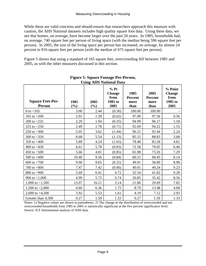While these are valid concerns and should ensure that researchers approach this measure with caution, the AHS National datasets includes high quality square foot data. Using these data, we see that homes, on average, have become larger over the past 20 years. In 1985, households had, on average, 740 square feet per person of living space (with the median being 596 square feet per person). In 2005, the size of the living space per person has increased, on average, by almost 24 percent to 916 square feet per person (with the median of 675 square feet per person).

Figure 5 shows that using a standard of 165 square feet, overcrowding fell between 1985 and 2005, as with the other measures discussed in this section.

|                                          |             |                | USING ATIS NAUVIIAI DATA                           |                                        |                                        |                                                     |
|------------------------------------------|-------------|----------------|----------------------------------------------------|----------------------------------------|----------------------------------------|-----------------------------------------------------|
| <b>Square Feet-Per-</b><br><b>Person</b> | 1985<br>(%) | 2005<br>$(\%)$ | $%$ Pt<br><b>Change</b><br>from<br>1985 to<br>2005 | 1985<br><b>Percent</b><br>more<br>than | 2005<br><b>Percent</b><br>more<br>than | % Point<br><b>Change</b><br>from<br>1985 to<br>2005 |
| 0 to $<$ 165                             | 3.00        | 2.44           | (0.56)                                             | 100.00                                 | 100.00                                 |                                                     |
| 165 to $<$ 200                           | 2.01        | 1.39           | (0.62)                                             | 97.00                                  | 97.56                                  | 0.56                                                |
| 200 to $<$ 225                           | 2.29        | 1.94           | (0.35)                                             | 94.99                                  | 96.17                                  | 1.18                                                |
| 225 to $<$ 250                           | 2.49        | 1.78           | (0.71)                                             | 92.69                                  | 94.22                                  | 1.53                                                |
| 250 to $<$ 300                           | 5.05        | 3.62           | (1.44)                                             | 90.21                                  | 92.44                                  | 2.24                                                |
| 300 to $<$ 350                           | 6.68        | 5.54           | (1.13)                                             | 85.15                                  | 88.83                                  | 3.68                                                |
| 350 to $<$ 400                           | 5.89        | 4.24           | (1.65)                                             | 78.48                                  | 83.28                                  | 4.81                                                |
| 400 to $<$ 450                           | 6.61        | 5.78           | (0.83)                                             | 72.58                                  | 79.05                                  | 6.46                                                |
| 450 to $<$ 500                           | 5.66        | 4.81           | (0.85)                                             | 65.98                                  | 73.26                                  | 7.29                                                |
| 500 to $< 600$                           | 10.40       | 9.56           | (0.84)                                             | 60.31                                  | 68.45                                  | 8.14                                                |
| 600 to $< 700$                           | 9.90        | 9.65           | (0.25)                                             | 49.91                                  | 58.89                                  | 8.98                                                |
| 700 to $< 800$                           | 7.47        | 7.42           | (0.06)                                             | 40.01                                  | 49.24                                  | 9.23                                                |
| 800 to $<$ 900                           | 5.69        | 6.41           | 0.72                                               | 32.54                                  | 41.82                                  | 9.28                                                |
| 900 to $<$ 1,000                         | 4.99        | 5.73           | 0.74                                               | 26.85                                  | 35.42                                  | 8.56                                                |
| 1,000 to $< 1,500$                       | 13.07       | 16.21          | 3.14                                               | 21.86                                  | 29.69                                  | 7.82                                                |
| 1,500 to $<$ 2,000                       | 4.60        | 6.36           | 1.75                                               | 8.79                                   | 13.48                                  | 4.68                                                |
| 2,000 to $<$ 4,500                       | 3.92        | 5.53           | 1.61                                               | 4.19                                   | 7.12                                   | 2.93                                                |
| Greater than 4,500                       | 0.27        | 1.59           | 1.33                                               | 0.27                                   | 1.59                                   | 1.33                                                |

#### **Figure 5: Square Footage-Per-Person, Using AHS National Data**

Notes: 1) Negative values are shown in parentheses. 2) The change in the distribution of overcrowded and not overcrowded households from 1985 to 2005 is statistically significant at the five percent significance level. Source: ICF International analysis of AHS data.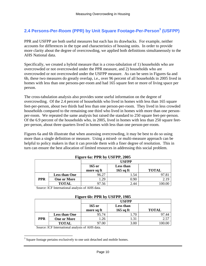## **2.4 Persons-Per-Room (PPR) by Unit Square Footage-Per-Person<sup>3</sup> (USFPP)**

PPR and USFPP are both useful measures but each has its drawbacks. For example, neither accounts for differences in the type and characteristics of housing units. In order to provide more clarity about the degree of overcrowding, we applied both definitions simultaneously to the AHS National data.

Specifically, we created a hybrid measure that is a cross-tabulation of 1) households who are overcrowded or not overcrowded under the PPR measure, and 2) households who are overcrowded or not overcrowded under the USFPP measure. As can be seen in Figures 6a and 6b, these two measures do greatly overlap, i.e., over 96 percent of all households in 2005 lived in homes with less than one persons-per-room and had 165 square feet or more of living space per person.

The cross-tabulation analysis also provides some useful information on the degree of overcrowding. Of the 2.4 percent of households who lived in homes with less than 165 square feet-per-person, about two thirds had less than one person-per-room. They lived in less crowded households compared to the remaining one third who lived in homes with more than one personper-room. We repeated the same analysis but raised the standard to 250 square feet-per-person. Of the 6.9 percent of the households who, in 2005, lived in homes with less than 250 square feetper-person, about three quarters lived in homes with less than one person-per-room.

Figures 6a and 6b illustrate that when assessing overcrowding, it may be best to do so using more than a single definition or measure. Using a mixed- or multi-measure approach can be helpful to policy makers in that it can provide them with a finer degree of resolution. This in turn can ensure the best allocation of limited resources in addressing this social problem.

| $\Gamma$ iguit va. I I K by USFII, $2003$ |                                                                    |       |      |      |  |  |
|-------------------------------------------|--------------------------------------------------------------------|-------|------|------|--|--|
|                                           | <b>USFPP</b>                                                       |       |      |      |  |  |
|                                           | $165$ or<br>Less than<br><b>TOTAL</b><br>$165$ sq ft<br>more sq ft |       |      |      |  |  |
|                                           |                                                                    |       |      |      |  |  |
|                                           | <b>Less than One</b>                                               | 96.27 | l.54 |      |  |  |
| <b>PPR</b>                                | <b>One or More</b>                                                 | 1.29  | 0.90 | 2.19 |  |  |
|                                           | <b>TOTAL</b>                                                       | 97.56 | 2.44 |      |  |  |

**Figure 6a: PPR by USFPP, 2005** 

Source: ICF International analysis of AHS data.

| Figure 6b: PPR by USFPP, 1985 |                      |            |             |              |  |  |
|-------------------------------|----------------------|------------|-------------|--------------|--|--|
|                               | <b>USFPP</b>         |            |             |              |  |  |
|                               |                      | $165$ or   | Less than   |              |  |  |
|                               |                      | more sq ft | $165$ sq ft | <b>TOTAL</b> |  |  |
|                               | <b>Less than One</b> | 95.74      | 1.70        | 97.44        |  |  |
| <b>PPR</b>                    | <b>One or More</b>   | 1.26       | 1.31        | 2.57         |  |  |
|                               | <b>TOTAL</b>         | 97.00      | 3.00        |              |  |  |

**Figure 6b: PPR by USFPP, 1985** 

 $3$  Square footage pertains exclusively to one unit detached and mobile homes.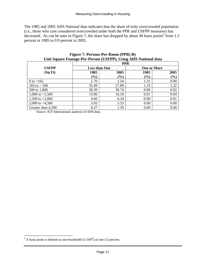The 1985 and 2005 AHS National data indicates that the share of truly overcrowded population (i.e., those who care considered overcrowded under both the PPR and USFPP measures) has decreased. As can be seen in Figure 7, the share has dropped by about 40 basis points<sup>4</sup> from 1.3 percent in 1985 to 0.9 percent in 2005.

|                    | ome bytan e robage r er r elbon (corri ), comg milo radional data |                              | <b>PPR</b> |                    |
|--------------------|-------------------------------------------------------------------|------------------------------|------------|--------------------|
| <b>USFPP</b>       |                                                                   | <b>Less than One</b>         |            | <b>One or More</b> |
| (SqFt)             | 1985                                                              | 2005                         | 1985       | 2005               |
|                    | (%)                                                               | $\left( \frac{0}{0} \right)$ | $(\%)$     | $(\%)$             |
| 0 to $<$ 165       | 1.70                                                              | 1.54                         | 1.31       | 0.90               |
| 165 to $< 500$     | 35.49                                                             | 27.89                        | 1.19       | 1.22               |
| 500 to 1,000       | 38.39                                                             | 38.74                        | 0.06       | 0.02               |
| 1,000 to $< 1,500$ | 13.06                                                             | 16.18                        | 0.01       | 0.04               |
| 1,500 to $< 2,000$ | 4.60                                                              | 6.34                         | 0.00       | 0.01               |
| 2,000 to $<4,500$  | 3.92                                                              | 5.53                         | 0.00       | 0.00               |
| Greater than 4,500 | 0.27                                                              | 1.59                         | 0.00       | 0.00               |

**Figure 7: Persons-Per-Room (PPR) By Unit Square Footage-Per-Person (USFPP), Using AHS National data** 

 $4$  A basis point is defined as one-hundredth  $(1/100<sup>th</sup>)$  of one (1) percent.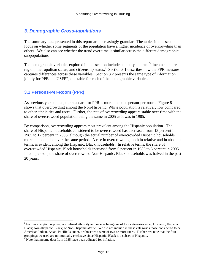## *3. Demographic Cross-tabulations*

The summary data presented in this report are increasingly granular. The tables in this section focus on whether some segments of the population have a higher incidence of overcrowding than others. We also can see whether the trend over time is similar across the different demographic subpopulations.

The demographic variables explored in this section include ethnicity and race<sup>5</sup>, income, tenure, region, metropolitan status, and citizenship status.<sup>6</sup> Section 3.1 describes how the PPR measure captures differences across these variables. Section 3.2 presents the same type of information jointly for PPB and USFPP, one table for each of the demographic variables.

#### **3.1 Persons-Per-Room (PPR)**

As previously explained, our standard for PPR is more than one person-per-room. Figure 8 shows that overcrowding among the Non-Hispanic, White population is relatively low compared to other ethnicities and races. Further, the rate of overcrowding appears stable over time with the share of overcrowded population being the same in 2005 as it was in 1985.

By comparison, overcrowding appears most prevalent among the Hispanic population. The share of Hispanic households considered to be overcrowded has decreased from 13 percent in 1985 to 12 percent in 2005, although the actual number of overcrowded Hispanic households more than doubled over the same period. A rise in overcrowding, both in relative and in absolute terms, is evident among the Hispanic, Black households. In relative terms, the share of overcrowded Hispanic, Black households increased from 5 percent in 1985 to 6 percent in 2005. In comparison, the share of overcrowded Non-Hispanic, Black households was halved in the past 20 years.

 $<sup>5</sup>$  For our analytic purposes, we defined ethnicity and race as being one of four categories – i.e., Hispanic; Hispanic,</sup> Black; Non-Hispanic, Black; or Non-Hispanic-White. We did not include in these categories those considered to be American Indian, Asian, Pacific Islander, or those who were of two or more races. Further, we note that the four groupings we used are not mutually exclusive since Hispanic, Black is a subset of Hispanic. 6 Note that income data from 1985 have been adjusted for inflation.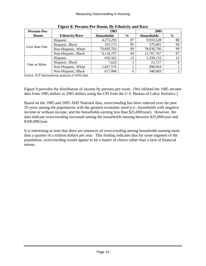| <b>Persons-Per-</b> | 0                     | 1985              |      | 2005              |               |  |
|---------------------|-----------------------|-------------------|------|-------------------|---------------|--|
| <b>Room</b>         | <b>Ethnicity/Race</b> | <b>Households</b> | $\%$ | <b>Households</b> | $\frac{6}{9}$ |  |
|                     | Hispanic              | 4,272,293         | 87   | 9,910,528         | 88            |  |
| Less than One       | Hispanic, Black       | 161,175           | 95   | 379,401           | 94            |  |
|                     | Non-Hispanic, White   | 70,695,763        | 99   | 78,030,766        | 99            |  |
|                     | Non-Hispanic, Black   | 9,116,707         | 94   | 12,707,767        | 97            |  |
|                     | Hispanic              | 636,562           | 13   | 1,339,152         | 12            |  |
| One or More         | Hispanic, Black       | 7,626             |      | 23,727            | 6             |  |
|                     | Non-Hispanic, White   | 1,047,576         |      | 698,964           |               |  |
|                     | Non-Hispanic, Black   | 617,068           | 6    | 340,683           | 3             |  |

**Figure 8: Persons-Per-Room, By Ethnicity and Race** 

Source: ICF International analysis of AHS data.

Figure 9 provides the distribution of income by persons-per-room. (We inflated the 1985 income data from 1985 dollars to 2005 dollars using the CPI from the U.S. Bureau of Labor Statistics.)

Based on the 1985 and 2005 AHS National data, overcrowding has been reduced over the past 20 years among the populations with the greatest economic need (i.e., households with negative income or without income, and the households earning less than \$25,000/year). However, the data indicate overcrowding increased among the households earning between \$25,000/year and \$100,000/year.

It is interesting to note that there are instances of overcrowding among households earning more than a quarter of a million dollars per year. This finding indicates that for some segment of the population, overcrowding would appear to be a matter of choice rather than a lack of financial means.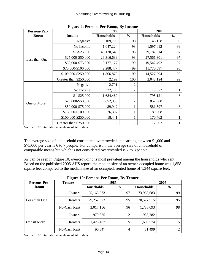| Persons-Per-  |                        | $\mathbf{r}$ is the state of $\mathbf{r}$ in the state $\mathbf{r}$<br>1985 |                | 2005              |                |
|---------------|------------------------|-----------------------------------------------------------------------------|----------------|-------------------|----------------|
| <b>Room</b>   | <b>Income</b>          | <b>Households</b>                                                           | $\frac{6}{6}$  | <b>Households</b> | $\frac{0}{0}$  |
|               | Negative               | 109,793                                                                     | 98             | 45,158            | 100            |
|               | No Income              | 1,047,224                                                                   | 98             | 1,597,012         | 99             |
|               | $$1 - $25,000$         | 46,120,648                                                                  | 96             | 29,187,514        | 97             |
| Less than One | \$25,000-\$50,000      | 26,316,689                                                                  | 98             | 27,561,301        | 97             |
|               | \$50,000-\$75,000      | 8,177,177                                                                   | 99             | 19,542,492        | 97             |
|               | \$75,000-\$100,000     | 2,288,477                                                                   | 99             | 11,770,097        | 98             |
|               | \$100,000-\$250,000    | 1,866,870                                                                   | 99             | 14,527,594        | 99             |
|               | Greater than \$250,000 | 2,199                                                                       | 100            | 2,048,124         | 99             |
|               | Negative               | 2,701                                                                       | 2              |                   |                |
|               | No Income              | 22,180                                                                      | $\overline{2}$ | 19,072            |                |
|               | $$1 - $25,000$         | 1,684,469                                                                   | $\overline{4}$ | 795,121           | 3              |
| One or More   | \$25,000-\$50,000      | 652,030                                                                     | $\overline{2}$ | 852,988           | 3              |
|               | \$50,000-\$75,000      | 89,942                                                                      |                | 581,597           | 3              |
|               | \$75,000-\$100,000     | 26,397                                                                      | 1              | 189,208           | $\overline{2}$ |
|               | \$100,000-\$250,000    | 18,441                                                                      | $\mathbf{1}$   | 170,462           |                |
|               | Greater than \$250,000 |                                                                             |                | 12,907            |                |

|  | <b>Figure 9: Persons-Per-Room, By Income</b> |  |  |
|--|----------------------------------------------|--|--|
|  |                                              |  |  |

Source: ICF International analysis of AHS data.

The average size of a household considered overcrowded and earning between \$1,000 and \$75,000 per year is 6 to 7 people. For comparison, the average size of a household of comparable means but which is not considered overcrowded is 2 to 3 people.

As can be seen in Figure 10, overcrowding is most prevalent among the households who rent. Based on the published 2005 AHS report, the median size of an owner-occupied home was 1,858 square feet compared to the median size of an occupied, rented home of 1,344 square feet.

| Persons-Per-  | <b>Tenure</b> |            | 1985          |                   | 2005          |
|---------------|---------------|------------|---------------|-------------------|---------------|
| <b>Room</b>   |               | Households | $\frac{6}{6}$ | <b>Households</b> | $\frac{0}{0}$ |
| Less than One | Owners        | 55,165,573 | 97            | 73,963,683        | 99            |
|               | Renters       | 29,252,973 | 95            | 30,577,515        | 95            |
|               | No-Cash Rent  | 2,017,156  | 96            | 1,738,093         | 98            |
|               | Owners        | 979,825    | ◠             | 986,282           |               |
| One or More   | Renters       | 1,425,487  | 5             | 1,603,574         |               |
|               | No-Cash Rent  | 90,847     | 4             | 31,499            | ◠             |

**Figure 10: Persons-Per-Room, By Tenure**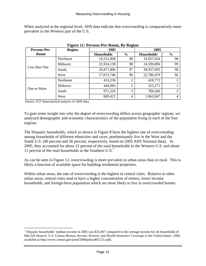When analyzed at the regional level, AHS data indicate that overcrowding is comparatively more prevalent in the Western part of the U.S.

| Persons-Per-  | <b>Region</b> | 1985              |                | 2005              |                |
|---------------|---------------|-------------------|----------------|-------------------|----------------|
| <b>Room</b>   |               | <b>Households</b> | $\%$           | <b>Households</b> | $\frac{6}{9}$  |
|               | Northeast     | 18,551,808        | 98             | 19,957,024        | 98             |
|               | Midwest       | 21,924,138        | 98             | 24,599,096        | 99             |
| Less than One | South         | 29,477,806        | 97             | 38,937,093        | 98             |
|               | West          | 17,013,748        | 96             | 22,786,079        | 96             |
|               | Northeast     | 410,236           | $\overline{c}$ | 418,772           | $\mathfrak{D}$ |
| One or More   | Midwest       | 444,983           | ◠              | 355,271           |                |
|               | South         | 971,520           | 3              | 784,266           | $\mathfrak{D}$ |
|               | West          | 669,421           | 4              | 1,063,047         | 4              |

**Figure 11: Persons-Per-Room, By Region** 

Source: ICF International analysis of AHS data.

To gain some insight into why the degree of overcrowding differs across geographic regions, we analyzed demographic and economic characteristics of the population living in each of the four regions.

The Hispanic households, which as shown in Figure 8 have the highest rate of overcrowding among households of different ethnicities and races, predominantly live in the West and the South U.S. (40 percent and 36 percent, respectively, based on 2005 AHS National data). In 2005, they accounted for about 22 percent of the total households in the Western U.S. and about 11 percent of the total households in the Southern U.S.<sup>7</sup>

As can be seen in Figure 12, overcrowding is more prevalent in urban areas than in rural. This is likely a function of available space for building residential properties.

Within urban areas, the rate of overcrowding is the highest in central cities. Relative to other urban areas, central cities tend to have a higher concentration of renters, lower income households, and foreign-born population which are more likely to live in overcrowded homes.

<sup>&</sup>lt;sup>7</sup> Hispanic households' median income in 2005 was \$35,967 compared to the average income for all households of \$46,326 (Source: U.S. Census Bureau, *Income, Poverty, and Health Insurance Coverage in the United States: 2005,*  available at http://www.census.gov/prod/2006pubs/p60-231.pdf).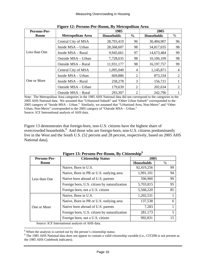| Persons-Per-  | ີ                        | 1985              |                | 2005              |    |
|---------------|--------------------------|-------------------|----------------|-------------------|----|
| <b>Room</b>   | <b>Metropolitan Area</b> | <b>Households</b> | $\frac{0}{0}$  | <b>Households</b> | %  |
|               | Central City of MSA      | 28,793,419        | 96             | 30,484,907        | 96 |
|               | Inside MSA - Urban       | 28,568,607        | 98             | 34,817,035        | 98 |
| Less than One | Inside MSA – Rural       | 9,945,661         | 97             | 14,673,484        | 99 |
|               | Outside MSA - Urban      | 7,728,635         | 98             | 10,106,109        | 98 |
|               | Outside MSA - Rural      | 11,931,177        | 98             | 16, 197, 757      | 99 |
|               | Central City of MSA      | 1,095,049         | 4              | 1,145,871         | 4  |
|               | Inside MSA – Urban       | 669,886           | $\overline{2}$ | 873,334           | 2  |
| One or More   | Inside MSA - Rural       | 258,278           | 3              | 156,721           |    |
|               | Outside MSA - Urban      | 179,639           | $\overline{2}$ | 202,634           | 2  |
|               | Outside MSA – Rural      | 293,307           | 2              | 242,796           |    |

**Figure 12: Persons-Per-Room, By Metropolitan Area** 

Note: The Metropolitan Area categories in the 1985 AHS National data did not correspond to the categories in the 2005 AHS National data. We assumed that "Urbanized Suburb" and "Other Urban Suburb" corresponded to the 2005 category of "Inside MSA – Urban." Similarly, we assumed that "Urbanized Area, Non-Metro" and "Other Urban, Non-Metro" corresponded to the 2005 category of "Outside MSA – Urban."

Source: ICF International analysis of AHS data.

Figure 13 demonstrates that foreign-born, non-U.S. citizens have the highest share of overcrowded households.<sup>8</sup> And those who are foreign-born, non-U.S. citizens predominantly live in the West and the South U.S. (52 percent and 28 percent, respectively, based on 2005 AHS National data).

| Persons-Per-  | <b>Citizenship Status</b>                    | 2005              |      |
|---------------|----------------------------------------------|-------------------|------|
| <b>Room</b>   |                                              | <b>Households</b> | $\%$ |
|               | Native, Born in U.S.                         | 92,419,256        | 99   |
| Less than One | Native, Born in PR or U.S. outlying area     | 1,991,101         | 94   |
|               | Native born abroad of U.S. parents           | 596,900           | 99   |
|               | Foreign born, U.S. citizen by naturalization | 5,703,815         | 95   |
|               | Foreign born, not a U.S. citizen             | 5,568,220         | 85   |
|               | Native, Born in U.S.                         | 1,202,531         |      |
|               | Native, Born in PR or U.S. outlying area     | 137,538           | 6    |
| One or More   | Native born abroad of U.S. parents           | 7,283             |      |
|               | Foreign born, U.S. citizen by naturalization | 281,173           | 5    |
|               | Foreign born, not a U.S. citizen             | 992,831           | 15   |

**Figure 13: Persons-Per-Room, By Citizenship<sup>9</sup>**

<sup>&</sup>lt;sup>8</sup> When the analysis is carried out by the person's citizenship status.

<sup>&</sup>lt;sup>9</sup> The 1985 AHS National data does not appear to contain a valid citizenship variable (i.e., CITZ80 is not present as the 1985 AHS Codebook indicates).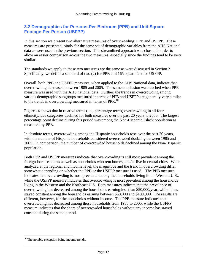#### **3.2 Demographics for Persons-Per-Bedroom (PPB) and Unit Square Footage-Per-Person (USFPP)**

In this section we present two alternative measures of overcrowding, PPB and USFPP. These measures are presented jointly for the same set of demographic variables from the AHS National data as were used in the previous section. This streamlined approach was chosen in order to allow an easier comparison across the two measures, especially since the findings tend to be very similar.

The standards we apply to these two measures are the same as were discussed in Section 2. Specifically, we define a standard of two (2) for PPB and 165 square feet for USFPP.

Overall, both PPB and USFPP measures, when applied to the AHS National data, indicate that overcrowding decreased between 1985 and 2005. The same conclusion was reached when PPR measure was used with the AHS national data. Further, the trends in overcrowding among various demographic subgroups measured in terms of PPB and USFPP are generally very similar to the trends in overcrowding measured in terms of PPR.<sup>10</sup>

Figure 14 shows that in relative terms (i.e., percentage terms) overcrowding in all four ethnicity/race categories declined for both measures over the past 20 years to 2005. The largest percentage point decline during this period was among the Non-Hispanic, Black population as measured by PPB.

In absolute terms, overcrowding among the Hispanic households rose over the past 20 years, with the number of Hispanic households considered overcrowded doubling between 1985 and 2005. In comparison, the number of overcrowded households declined among the Non-Hispanic population.

Both PPB and USFPP measures indicate that overcrowding is still most prevalent among the foreign-born residents as well as households who rent homes, and/or live in central cities. When analyzed at the regional and income level, the magnitude and the trend in overcrowding differ somewhat depending on whether the PPB or the USFPP measure is used. The PPB measure indicates that overcrowding is most prevalent among the households living in the Western U.S., while the USFPP measure indicates that overcrowding is most prevalent among the households living in the Western and the Northeast U.S. Both measures indicate that the prevalence of overcrowding has decreased among the households earning less than \$50,000/year, while it has stayed constant among the households earning between \$50,000 and \$100,000. The results are different, however, for the households without income. The PPB measure indicates that overcrowding has decreased among those households from 1985 to 2005, while the USFPP measure indicates that the share of overcrowded households without any income has stayed constant during the same period.

<sup>&</sup>lt;sup>10</sup> The notable exception being income trends.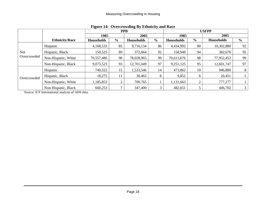| There I is overcrowally by Bullinery and Ruce |                       |                   |                |                   |      |                   |               |                   |                |  |  |
|-----------------------------------------------|-----------------------|-------------------|----------------|-------------------|------|-------------------|---------------|-------------------|----------------|--|--|
|                                               |                       |                   | <b>PPB</b>     |                   |      |                   |               | <b>USFPP</b>      |                |  |  |
|                                               |                       | 1985              |                | 2005              |      | 1985              |               | 2005              |                |  |  |
|                                               | <b>Ethnicity/Race</b> | <b>Households</b> | $\frac{6}{10}$ | <b>Households</b> | $\%$ | <b>Households</b> | $\frac{6}{9}$ | <b>Households</b> | $\frac{6}{9}$  |  |  |
|                                               | Hispanic              | 4,168,533         | 85             | 9,716,134         | 86   | 4,434,992         | 90            | 10,302,880        | 92             |  |  |
| Not                                           | Hispanic, Black       | 150,525           | 89             | 372,664           | 92   | 158,949           | 94            | 382,676           | 95             |  |  |
| Overcrowded                                   | Non-Hispanic, White   | 70,557,486        | 98             | 78,028,965        | 99   | 70,611,676        | 98            | 77,952,453        | 99             |  |  |
|                                               | Non-Hispanic, Black   | 9,073,523         | 93             | 12,701,049        | 97   | 9,251,125         | 95            | 12,601,747        | 97             |  |  |
|                                               | Hispanic              | 740,322           | 15             | 1,533,546         | 14   | 473,862           | 10            | 946,800           | 8              |  |  |
| Overcrowded                                   | Hispanic, Black       | 18,275            | 11             | 30,463            | 8    | 9,852             | 6             | 20,451            |                |  |  |
|                                               | Non-Hispanic, White   | 1,185,853         | ⌒              | 700,765           |      | 1,131,663         | ◠             | 777,277           |                |  |  |
|                                               | Non-Hispanic, Black   | 660,253           |                | 347,400           | 3    | 482,651           |               | 446,702           | 3 <sup>1</sup> |  |  |

#### **Figure 14: Overcrowding By Ethnicity and Race**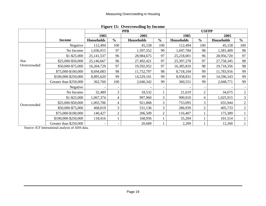|             |                        |                   |                | <b>PPB</b>        |                |                   | <b>USFPP</b>   |                   |                |
|-------------|------------------------|-------------------|----------------|-------------------|----------------|-------------------|----------------|-------------------|----------------|
|             |                        | 1985              |                | 2005              |                | 1985              |                | 2005              |                |
|             | <b>Income</b>          | <b>Households</b> | $\frac{6}{6}$  | <b>Households</b> | $\frac{6}{6}$  | <b>Households</b> | $\frac{6}{6}$  | <b>Households</b> | $\frac{6}{6}$  |
|             | Negative               | 112,494           | 100            | 45,158            | 100            | 112,494           | 100            | 45,158            | 100            |
|             | No Income              | 1,036,915         | 97             | 1,597,552         | 99             | 1,047,784         | 98             | 1,581,409         | 98             |
|             | $$1 - $25,000$         | 25, 141, 537      | 96             | 28,984,675        | 97             | 25,218,001        | 96             | 28,956,720        | 97             |
| Not         | \$25,000-\$50,000      | 25,146,667        | 96             | 27,492,421        | 97             | 25,397,278        | 97             | 27,758,345        | 98             |
| Overcrowded | \$50,000-\$75,000      | 16,204,729        | 97             | 19,592,952        | 97             | 16,385,810        | 98             | 19,718,356        | 98             |
|             | \$75,000-\$100,000     | 8,694,083         | 98             | 11,752,797        | 98             | 8,718,104         | 99             | 11,783,916        | 99             |
|             | \$100,000-\$250,000    | 8,895,620         | 99             | 14,529,101        | 99             | 8,958,831         | 99             | 14,596,543        | 99             |
|             | Greater than \$250,000 | 362,760           | 100            | 2,040,342         | 99             | 360,551           | 99             | 2,048,771         | 99             |
|             | Negative               |                   |                |                   |                |                   |                |                   |                |
|             | No Income              | 32,489            | 3              | 18,532            |                | 21,619            | $\overline{c}$ | 34,675            | $\overline{2}$ |
|             | $$1 - $25,000$         | 1,067,374         | $\overline{4}$ | 997,960           | 3              | 990,910           | 4              | 1,025,915         | $\mathfrak{Z}$ |
| Overcrowded | \$25,000-\$50,000      | 1,003,706         | 4              | 921,868           | 3              | 753,095           | 3              | 655,944           | $\overline{2}$ |
|             | \$50,000-\$75,000      | 468,019           | 3              | 531,136           | 3              | 286,939           | $\overline{2}$ | 405,733           | $\overline{2}$ |
|             | \$75,000-\$100,000     | 140,427           | $\mathbf{2}$   | 206,509           | $\overline{2}$ | 116,407           |                | 175,389           |                |
|             | \$100,000-\$250,000    | 118,416           |                | 168,956           |                | 55,204            |                | 101,514           |                |
|             | Greater than \$250,000 |                   |                | 20,689            |                | 2,209             |                | 12,260            |                |

**Figure 15: Overcrowding by Income**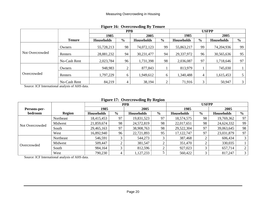|                 |               | - -               | <b>PPB</b>    | <b>□</b> J        |               | <b>USFPP</b>      |               |                   |                |  |
|-----------------|---------------|-------------------|---------------|-------------------|---------------|-------------------|---------------|-------------------|----------------|--|
|                 |               | 1985              |               | 2005              |               | 1985              |               | 2005              |                |  |
|                 | <b>Tenure</b> | <b>Households</b> | $\frac{6}{9}$ | <b>Households</b> | $\frac{6}{9}$ | <b>Households</b> | $\frac{0}{0}$ | <b>Households</b> | $\frac{6}{6}$  |  |
|                 | Owners        | 55,728,213        | 98            | 74,072,123        | 99            | 55,863,217        | 99            | 74,204,936        | 99             |  |
| Not Overcrowded | Renters       | 28,881,232        | 94            | 30,231,477        | 94            | 29,337,972        | 96            | 30,565,636        | 95             |  |
|                 | No-Cash Rent  | 2,023,784         | 96            | 1,731,398         | 98            | 2,036,087         | 97            | 1,718,646         | 97             |  |
|                 | Owners        | 948,983           | ◠             | 877,843           |               | 813,979           |               | 745,030           |                |  |
| Overcrowded     | Renters       | 1,797,229         | 6             | 1,949,612         | 6             | 1,340,488         | 4             | 1,615,453         |                |  |
|                 | No-Cash Rent  | 84,219            | 4             | 38,194            | ◠             | 71,916            | 3             | 50,947            | $\mathfrak{Z}$ |  |

#### **Figure 16: Overcrowding By Tenure**

Source: ICF International analysis of AHS data.

#### **Figure 17: Overcrowding By Region**

|                 |               |                   | <b>PPB</b>    |                   |               |                   | <b>USFPP</b>   |                   |                |
|-----------------|---------------|-------------------|---------------|-------------------|---------------|-------------------|----------------|-------------------|----------------|
| Persons-per-    |               | 1985              |               | 2005              |               | 1985              |                | 2005              |                |
| bedroom         | <b>Region</b> | <b>Households</b> | $\frac{6}{9}$ | <b>Households</b> | $\frac{6}{6}$ | <b>Households</b> | $\frac{6}{10}$ | <b>Households</b> | $\frac{0}{0}$  |
| Not Overcrowded | Northeast     | 18,415,453        | 97            | 19,831,523        | 97            | 18,574,575        | 98             | 19,769,362        | 97             |
|                 | Midwest       | 21,859,674        | 98            | 24,572,819        | 98            | 22,017,651        | 98             | 24,624,332        | 99             |
|                 | South         | 29,465,163        | 97            | 38,908,763        | 98            | 29,522,304        | 97             | 39,063,645        | 98             |
|                 | West          | 16,892,940        | 96            | 22,721,893        | 95            | 17, 122, 747      | 97             | 23,031,879        | 97             |
|                 | Northeast     | 546,591           | 3             | 544,273           | 3             | 387,468           |                | 606,434           | 3 <sup>1</sup> |
|                 | Midwest       | 509,447           |               | 381,547           | $\Omega$      | 351,470           |                | 330,035           |                |
| Overcrowded     | South         | 984,164           | $\bigcirc$    | 812,596           | $\bigcap$     | 927,023           |                | 657,714           |                |
|                 | West          | 790,230           | 4             | 1,127,233         |               | 560,422           | ⌒              | 817,247           | 3 <sup>1</sup> |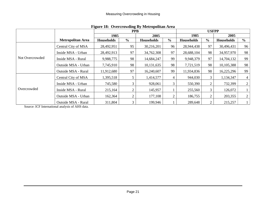|                 |                          |                   | <b>PPB</b>    | Tigure 10. Overerowding by incuropolitan Area |                |                   | <b>USFPP</b>   |                   |                |
|-----------------|--------------------------|-------------------|---------------|-----------------------------------------------|----------------|-------------------|----------------|-------------------|----------------|
|                 |                          | 1985              |               | 2005                                          |                | 1985              |                | 2005              |                |
|                 | <b>Metropolitan Area</b> | <b>Households</b> | $\frac{6}{9}$ | <b>Households</b>                             | $\frac{0}{0}$  | <b>Households</b> | $\frac{6}{6}$  | <b>Households</b> | $\frac{6}{6}$  |
| Not Overcrowded | Central City of MSA      | 28,492,951        | 95            | 30,216,201                                    | 96             | 28,944,438        | 97             | 30,496,431        | 96             |
|                 | Inside MSA - Urban       | 28,492,913        | 97            | 34,762,308                                    | 97             | 28,688,104        | 98             | 34,957,970        | 98             |
|                 | Inside MSA - Rural       | 9,988,775         | 98            | 14,684,247                                    | 99             | 9,948,379         | 97             | 14,704,132        | 99             |
|                 | Outside MSA - Urban      | 7,745,910         | 98            | 10,131,635                                    | 98             | 7,721,519         | 98             | 10,105,388        | 98             |
|                 | Outside MSA - Rural      | 11,912,680        | 97            | 16,240,607                                    | 99             | 11,934,836        | 98             | 16,225,296        | 99             |
|                 | Central City of MSA      | 1,395,518         |               | 1,414,577                                     | 4              | 944,030           | 3              | 1,134,347         | $\overline{4}$ |
|                 | Inside MSA - Urban       | 745,580           | 3             | 928,061                                       | 3              | 550,390           | 2              | 732,399           | $\overline{2}$ |
| Overcrowded     | Inside MSA - Rural       | 215,164           | 2             | 145,957                                       |                | 255,560           | 3              | 126,072           |                |
|                 | Outside MSA - Urban      | 162,364           | 2             | 177,108                                       | $\overline{2}$ | 186,755           | $\overline{2}$ | 203,355           | $\overline{2}$ |
|                 | Outside MSA - Rural      | 311,804           |               | 199,946                                       |                | 289,648           | 2              | 215,257           |                |

**Figure 18: Overcrowding By Metropolitan Area**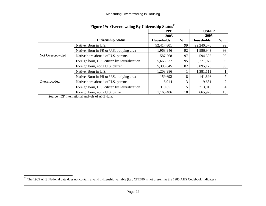|                 | $-5 - 7$                                     | <b>PPB</b>        |               | <b>USFPP</b>      |               |  |
|-----------------|----------------------------------------------|-------------------|---------------|-------------------|---------------|--|
|                 |                                              | 2005              |               | 2005              |               |  |
|                 | <b>Citizenship Status</b>                    | <b>Households</b> | $\frac{0}{0}$ | <b>Households</b> | $\frac{6}{6}$ |  |
|                 | Native, Born in U.S.                         | 92,417,801        | 99            | 92,240,676        | 99            |  |
| Not Overcrowded | Native, Born in PR or U.S. outlying area     | 1,968,946         | 92            | 1,986,943         | 93            |  |
|                 | Native born abroad of U.S. parents           | 587,268           | 97            | 594,502           | 98            |  |
|                 | Foreign born, U.S. citizen by naturalization | 5,665,337         | 95            | 5,771,972         | 96            |  |
|                 | Foreign born, not a U.S. citizen             | 5,395,645         | 82            | 5,895,125         | 90            |  |
|                 | Native, Born in U.S.                         | 1,203,986         |               | 1,381,111         |               |  |
|                 | Native, Born in PR or U.S. outlying area     | 159,692           | 8             | 141,696           | 7             |  |
| Overcrowded     | Native born abroad of U.S. parents           | 16,914            | 3             | 9,681             | 2             |  |
|                 | Foreign born, U.S. citizen by naturalization | 319,651           | 5             | 213,015           | 4             |  |
|                 | Foreign born, not a U.S. citizen             | 1,165,406         | 18            | 665,926           | 10            |  |

#### **Figure 19: Overcrowding By Citizenship Status<sup>11</sup>**

<sup>&</sup>lt;sup>11</sup> The 1985 AHS National data does not contain a valid citizenship variable (i.e., CITZ80 is not present as the 1985 AHS Codebook indicates).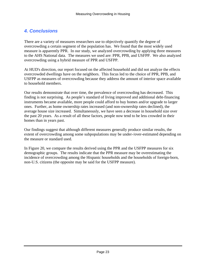## *4. Conclusions*

There are a variety of measures researchers use to objectively quantify the degree of overcrowding a certain segment of the population has. We found that the most widely used measure is apparently PPR. In our study, we analyzed overcrowding by applying three measures to the AHS National data. The measures we used are: PPR, PPB, and USFPP. We also analyzed overcrowding using a hybrid measure of PPR and USFPP.

At HUD's direction, our report focused on the affected household and did not analyze the effects overcrowded dwellings have on the neighbors. This focus led to the choice of PPR, PPB, and USFPP as measures of overcrowding because they address the amount of interior space available to household members.

Our results demonstrate that over time, the prevalence of overcrowding has decreased. This finding is not surprising. As people's standard of living improved and additional debt-financing instruments became available, more people could afford to buy homes and/or upgrade to larger ones. Further, as home ownership rates increased (and non-ownership rates declined), the average house size increased. Simultaneously, we have seen a decrease in household size over the past 20 years. As a result of all these factors, people now tend to be less crowded in their homes than in years past.

Our findings suggest that although different measures generally produce similar results, the extent of overcrowding among some subpopulations may be under-/over-estimated depending on the measure or standard used.

In Figure 20, we compare the results derived using the PPR and the USFPP measures for six demographic groups. The results indicate that the PPR measure may be overestimating the incidence of overcrowding among the Hispanic households and the households of foreign-born, non-U.S. citizens (the opposite may be said for the USFPP measure).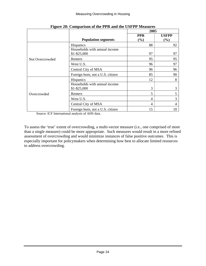|                 |                                                 | 2005                    |              |
|-----------------|-------------------------------------------------|-------------------------|--------------|
|                 |                                                 | <b>PPR</b>              | <b>USFPP</b> |
|                 | <b>Population segments</b>                      | (%)                     | (%)          |
| Not Overcrowded | <b>Hispanics</b>                                | 88                      | 92           |
|                 | Households with annual income<br>$$1 - $25,000$ | 97                      | 97           |
|                 | Renters                                         | 95                      | 95           |
|                 | West U.S.                                       | 96                      | 97           |
|                 | Central City of MSA                             | 96                      | 96           |
|                 | Foreign born, not a U.S. citizen                | 85                      | 90           |
| Overcrowded     | Hispanics                                       | 12                      | 8            |
|                 | Households with annual income<br>$$1 - $25,000$ | 3                       | 3            |
|                 | Renters                                         | $\overline{\mathbf{5}}$ | 5            |
|                 | West U.S.                                       | 4                       | 3            |
|                 | Central City of MSA                             | 4                       | 4            |
|                 | Foreign born, not a U.S. citizen                | 15                      | 10           |

**Figure 20: Comparison of the PPR and the USFPP Measures** 

Source: ICF International analysis of AHS data.

To assess the 'true' extent of overcrowding, a multi-vector measure (i.e., one comprised of more than a single measure) could be more appropriate. Such measures would result in a more refined assessment of overcrowding and would minimize instances of false positive outcomes. This is especially important for policymakers when determining how best to allocate limited resources to address overcrowding.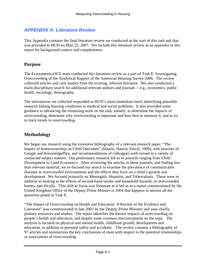## *APPENDIX A: Literature Review*

This Appendix contains the final literature review we conducted at the start of this task and that was provided to HUD on May 25, 2007. We include this literature review as an appendix to this report for background context and completeness.

#### **Purpose**

The Econometrica/ICF team conducted this literature review as a part of Task E: Investigating Overcrowding of the Analytical Support of the American Housing Survey 2006. The review collected articles and case studies from the existing, relevant literature. We also conducted a multi-disciplinary search for additional relevant authors and journals -- e.g., economics, public health, sociology, demography.

The information we collected responded to HUD's most immediate need, identifying plausible research linking housing conditions to medical and social problems. It also provided some guidance in advancing the remaining work on the task, namely, to determine the impacts of overcrowding, determine why overcrowding is important and how best to measure it, and to try to track trends in overcrowding.

## **Methodology**

We began our research using the extensive bibliography of a relevant research paper, "The Impact of homeownership on Child Outcomes" (Haurin, Haurin, Parcel, 1999), web searches of Google and KnowledgePlex, and recommendations of colleagues well-versed in a variety of connected subject matters. Our preliminary research led us to journals ranging from *Child Development* to *Land Economics*. After reviewing the articles in these journals, and finding less than relevant material, we re-focused our search to examine the prevalence of communicable diseases in overcrowded environments and the effects they have on a child's growth and development. We focused primarily on Meningitis, Hepatitis, and Tuberculosis. These were in addition to looking at the effects of second-hand smoke and household hazards, in overcrowded homes, specifically. This shift in focus was fortunate as it led us to a report commissioned by the United Kingdom Office of the Deputy Prime Minster in 2004 that happens to answer all the questions posed in Task E.

"The Impact of Overcrowding on Health and Education: A Review of the Evidence and Literature" was commissioned in late 2003 by the Deputy Prime Minister and uses chiefly primary resources and studies. The report identifies the known impacts of overcrowding on people's health and education, and dispels some common misconceptions on the topic. The analysis is focused on physical and mental health, childhood growth, development and education, in addition to personal safety and accidents. The review contains a bibliography of 97 articles and summarizes the key conclusions of most with respect to the potential relationships or associations of overcrowding.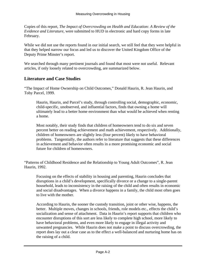Copies of this report, *The Impact of Overcrowding on Health and Education: A Review of the Evidence and Literature,* were submitted to HUD in electronic and hard copy forms in late February.

While we did not use the reports found in our initial search, we still feel that they were helpful in that they helped narrow our focus and led us to discover the United Kingdom Office of the Deputy Prime Minster's report.

We searched through many pertinent journals and found that most were not useful. Relevant articles, if only loosely related to overcrowding, are summarized below.

#### **Literature and Case Studies**

"The Impact of Home Ownership on Child Outcomes," Donald Haurin, R. Jean Haurin, and Toby Parcel, 1999.

Haurin, Haurin, and Parcel's study, through controlling social, demographic, economic, child-specific, unobserved, and influential factors, finds that owning a home will ultimately lead to a better home environment than what would be achieved when renting a home.

Most notably, their study finds that children of homeowners tend to do six and seven percent better on reading achievement and math achievement, respectively. Additionally, children of homeowners are slightly less (four percent) likely to have behavioral problems. Tangentially, the authors refer to literature that suggests that these differences in achievement and behavior often results in a more promising economic and social future for children of homeowners.

"Patterns of Childhood Residence and the Relationship to Young Adult Outcomes", R. Jean Haurin, 1992.

Focusing on the effects of stability in housing and parenting, Haurin concludes that disruptions in a child's development, specifically divorce or a change to a single-parent household, leads to inconsistency in the raising of the child and often results in economic and social disadvantages. When a divorce happens in a family, the child most often goes to live with the mother.

According to Haurin, the sooner the custody transition, joint or other wise, happens, the better. Multiple moves, changes in schools, friends, role models etc., effects the child's socialization and sense of attachment. Data in Haurin's report supports that children who encounter disruptions of this sort are less likely to complete high school, more likely to have behavioral problems, and even more likely to engage in illegal activity and unwanted pregnancies. While Haurin does not make a point to discuss overcrowding, the report does lay out a clear case as to the effect a well-balanced and nurturing home has on the raising of a child.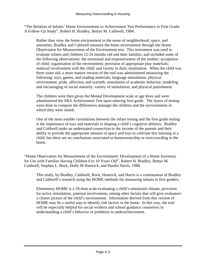"The Relation of Infants' Home Environments to Achievement Test Performance in First Grade: A Follow-Up Study", Robert H. Bradley, Bettye M. Caldwell, 1984.

Rather than view the home environment in the sense of neighborhood, space, and amenities, Bradley and Caldwell measure the home environment through the Home Observation for Measurement of the Environment test. This instrument was used to evaluate infants and children 12-24 months old and their families, and included some of the following observations: the emotional and responsiveness of the mother; acceptance of child; organization of the environment; provision of appropriate play materials; material involvement with the child; and variety in daily stimulation. When the child was three years old, a more mature version of the tool was administered measuring the following: toys, games, and reading materials; language stimulation; physical environment; pride, affection, and warmth; stimulation of academic behavior; modeling and encouraging of social maturity; variety of stimulation; and physical punishment.

The children were then given the Mental Development scale at age three and were administered the SRA Achievement Test upon entering first grade. The layers of testing were done to compare the differences amongst the children and the environments in which they were raised.

One of the most notable correlations between the infant testing and the first grade testing is the importance of toys and materials in shaping a child's cognitive abilities. Bradley and Caldwell make an understated connection to the income of the parents and their ability to provide the appropriate amount of space and toys to cultivate this learning in a child, but there are no conclusions associated to homeownership or overcrowding in the home.

"Home Observation for Measurement of the Environment: Development of a Home Inventory for Use with Families Having Children 6 to 10 Years Old", Robert H. Bradley, Bettye M. Caldwell, Stephen L. Rock, Holly M Hamrick, and Pandia Harris, 1988.

This study, by Bradley, Caldwell, Rock, Hamrick, and Harris is a continuation of Bradley and Caldwell's research using the HOME methods for measuring infants to first graders.

Elementary HOME is a 59-item scale evaluating a child's emotional climate, provision for active stimulation, paternal involvement, among other factors that will give evaluators a clearer picture of the child's environment. Information derived from this version of HOME may be a useful way to identify risk factors in the home. In this way, the tool will be especially helpful for social workers and school guidance counselors in understanding a child's behavior or problems in underachievement.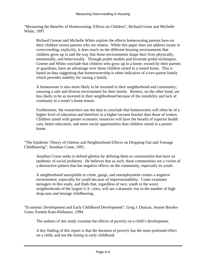"Measuring the Benefits of Homeowning: Effects on Children", Richard Green and Michelle White, 1997.

Richard Greene and Michelle White explore the effects homeowning parents have on their children versus parents who are renters. While this paper does not address issues in overcrowding, explicitly, it does touch on the different housing environments that children grow up in and the way that those environments shape their lives physically, emotionally, and behaviorally. Through probit models and bivariate probit techniques, Greene and White conclude that children who grow up in a home, owned by their parents or guardians, have an advantage over those children raised in a rented home. This is based on data suggesting that homeownership is often indicative of a two-parent family which provides stability for raising a family.

A homeowner is also more likely to be invested in their neighborhood and community; ensuring a safe and diverse environment for their family. Renters, on the other hand, are less likely to be as invested in their neighborhood because of the instability and lack of continuity in a renter's home tenure.

Furthermore, the researchers use the data to conclude that homeowners will often be of a higher level of education and therefore in a higher income bracket than those of renters. Children raised with greater economic resources will have the benefit of superior health care, better education, and more social opportunities than children raised in a poorer home.

"The Epidemic Theory of Ghettos and Neighborhood Effects on Dropping Out and Teenage Childbearing", Jonathan Crane, 1991.

Jonathan Crane seeks to defend ghettos by defining them as communities that have an epidemic of social problems. He believes that as such, these communities are a victim of a destructive pattern that has negative effects on the community, especially its youth.

A neighborhood susceptible to crime, gangs, and unemployment creates a negative environment, especially for youth because of impressionability. Crane examines teenagers in this study, and finds that, regardless of race, youth in the worst neighborhoods of the largest U.S. cities, will see a dramatic rise in the number of high drop-outs and teenage childbearing.

"Economic Development and Early Childhood Development", Greg J. Duncan, Jeanne Brooks-Gunn, Pamela Kato-Klebanov, 1994.

The authors of this study examine the effects of poverty on a child's development.

A key finding of this report is that the duration of poverty has the most profound effect on a child, and not the timing in early childhood.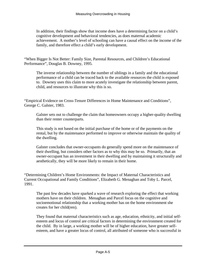In addition, their findings show that income does have a determining factor on a child's cognitive development and behavioral tendencies, as does maternal academic achievement. A mother's level of schooling can have a causal effect on the income of the family, and therefore effect a child's early development.

"When Bigger Is Not Better: Family Size, Parental Resources, and Children's Educational Performance", Douglas B. Downey, 1995.

The inverse relationship between the number of siblings in a family and the educational performance of a child can be traced back to the available resources the child is exposed to. Downey uses this claim to more acutely investigate the relationship between parent, child, and resources to illustrate why this is so.

"Empirical Evidence on Cross-Tenure Differences in Home Maintenance and Conditions", George C. Galster, 1983.

Galster sets out to challenge the claim that homeowners occupy a higher-quality dwelling than their renter counterparts.

This study is not based on the initial purchase of the home or of the payments on the rental, but by the maintenance performed to improve or otherwise maintain the quality of the dwelling.

Galster concludes that owner-occupants do generally spend more on the maintenance of their dwelling, but considers other factors as to why this may be so. Primarily, that an owner-occupant has an investment in their dwelling and by maintaining it structurally and aesthetically, they will be more likely to remain in their home.

"Determining Children's Home Environments: the Impact of Maternal Characteristics and Current Occupational and Family Conditions", Elizabeth G. Menaghan and Toby L. Parcel, 1991.

The past few decades have sparked a wave of research exploring the effect that working mothers have on their children. Menaghan and Parcel focus on the cognitive and socioemotional relationship that a working mother has on the home environment she creates for her child(ren).

They found that maternal characteristics such as age, education, ethnicity, and initial selfesteem and locus of control are critical factors in determining the environment created for the child. By in large, a working mother will be of higher education, have greater selfesteem, and have a greater locus of control, all attributed of someone who is successful in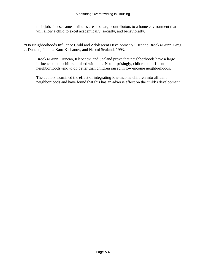their job. These same attributes are also large contributors to a home environment that will allow a child to excel academically, socially, and behaviorally.

"Do Neighborhoods Influence Child and Adolescent Development?", Jeanne Brooks-Gunn, Greg J. Duncan, Pamela Kato-Klebanov, and Naomi Sealand, 1993.

Brooks-Gunn, Duncan, Klebanov, and Sealand prove that neighborhoods have a large influence on the children raised within it. Not surprisingly, children of affluent neighborhoods tend to do better than children raised in low-income neighborhoods.

The authors examined the effect of integrating low-income children into affluent neighborhoods and have found that this has an adverse effect on the child's development.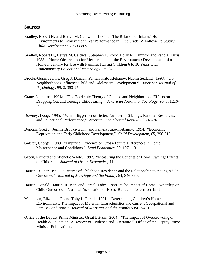#### **Sources**

- Bradley, Robert H. and Bettye M. Caldwell. 1984b. "The Relation of Infants' Home Environments to Achievement Test Performance in First Grade: A Follow-Up Study." *Child Development* 55:803-809.
- Bradley, Robert H., Bettye M. Caldwell, Stephen L. Rock, Holly M Hamrick, and Pandia Harris. 1988. "Home Observation for Measurement of the Environment: Development of a Home Inventory for Use with Families Having Children 6 to 10 Years Old." *Contemporary Educational Psychology* 13:58-71.
- Brooks-Gunn, Jeanne, Greg J. Duncan, Pamela Kato Klebanov, Naomi Sealand. 1993. "Do Neighborhoods Influence Child and Adolescent Development?" *American Journal of Psychology*, 99, 2, 353-95.
- Crane, Jonathan. 1991a. "The Epidemic Theory of Ghettos and Neighborhood Effects on Dropping Out and Teenage Childbearing." *American Journal of Sociology*, 96, 5, 1226- 59.
- Downey, Doug. 1995. "When Bigger is not Better: Number of Siblings, Parental Resources, and Educational Performance," *American Sociological Review*, 60:746-761.
- Duncan, Greg J., Jeanne Brooks-Gunn, and Pamela Kato-Klebanov. 1994. "Economic Deprivation and Early Childhood Development," *Child Development*, 65, 296-318.
- Galster, George. 1983. "Empirical Evidence on Cross-Tenure Differences in Home Maintenance and Conditions," *Land Economics*, 59, 107-113.
- Green, Richard and Michelle White. 1997. "Measuring the Benefits of Home Owning: Effects on Children," *Journal of Urban Economics*, 41.
- Haurin, R. Jean. 1992. "Patterns of Childhood Residence and the Relationship to Young Adult Outcomes," *Journal of Marriage and the Family*, 54, 846-860.
- Haurin, Donald, Haurin, R. Jean, and Parcel, Toby. 1999. "The Impact of Home Ownership on Child Outcomes," National Association of Home Builders. November 1999.
- Menaghan, Elizabeth G. and Toby L. Parcel. 1991. "Determining Children's Home Environments: The Impact of Maternal Characteristics and Current Occupational and Family Conditions." *Journal of Marriage and the Family* 53:417-431.
- Office of the Deputy Prime Minister, Great Britain. 2004. "The Impact of Overcrowding on Health & Education: A Review of Evidence and Literature." Office of the Deputy Prime Minister Publications.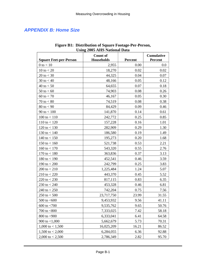## *APPENDIX B: Home Size*

| <b>Using 2005 AHS National Data</b> |                                      |                |                              |  |  |  |  |
|-------------------------------------|--------------------------------------|----------------|------------------------------|--|--|--|--|
| <b>Square Feet-per-Person</b>       | <b>Count of</b><br><b>Households</b> | <b>Percent</b> | <b>Cumulative</b><br>Percent |  |  |  |  |
| $0$ to $< 10$                       | 2,955                                | 0.00           | 0.0                          |  |  |  |  |
| $10$ to $< 20$                      | 18,270                               | 0.02           | 0.02                         |  |  |  |  |
| $20 \text{ to } < 30$               | 44,325                               | 0.04           | 0.07                         |  |  |  |  |
| 30 to $< 40$                        | 48,166                               | 0.05           | 0.12                         |  |  |  |  |
| 40 to $< 50$                        | 64,655                               | 0.07           | 0.18                         |  |  |  |  |
| $50$ to $< 60$                      | 74,903                               | 0.08           | 0.26                         |  |  |  |  |
| $60$ to $< 70$                      | 46,167                               | 0.05           | 0.30                         |  |  |  |  |
| $70 \text{ to } < 80$               | 74,519                               | 0.08           | 0.38                         |  |  |  |  |
| $80 \text{ to } < 90$               | 84,429                               | 0.09           | 0.46                         |  |  |  |  |
| 90 to $< 100$                       | 141,870                              | 0.14           | 0.61                         |  |  |  |  |
| 100 to $< 110$                      | 242,772                              | 0.25           | 0.85                         |  |  |  |  |
| 110 to $< 120$                      | 157,228                              | 0.16           | 1.01                         |  |  |  |  |
| 120 to $<$ 130                      | 282,909                              | 0.29           | 1.30                         |  |  |  |  |
| 130 to $< 140$                      | 186,580                              | 0.19           | 1.49                         |  |  |  |  |
| 140 to $< 150$                      | 195,273                              | 0.20           | 1.68                         |  |  |  |  |
| 150 to $< 160$                      | 521,738                              | 0.53           | 2.21                         |  |  |  |  |
| 160 to $< 170$                      | 543,320                              | 0.55           | 2.76                         |  |  |  |  |
| 170 to $< 180$                      | 363,836                              | 0.37           | 3.13                         |  |  |  |  |
| 180 to $<$ 190                      | 452,541                              | 0.46           | 3.59                         |  |  |  |  |
| 190 to $< 200$                      | 242,799                              | 0.25           | 3.83                         |  |  |  |  |
| 200 to $< 210$                      | 1,225,484                            | 1.24           | 5.07                         |  |  |  |  |
| $210$ to $<$ 220                    | 443,370                              | 0.45           | 5.52                         |  |  |  |  |
| 220 to $<$ 230                      | 817,115                              | 0.83           | 6.35                         |  |  |  |  |
| 230 to $< 240$                      | 453,328                              | 0.46           | 6.81                         |  |  |  |  |
| 240 to $< 250$                      | 742,204                              | 0.75           | 7.56                         |  |  |  |  |
| $250$ to $< 500$                    | 23,717,750                           | 23.99          | 31.55                        |  |  |  |  |
| 500 to $<600$                       | 9,453,932                            | 9.56           | 41.11                        |  |  |  |  |
| 600 to $< 700$                      | 9,535,762                            | 9.65           | 50.76                        |  |  |  |  |
| 700 to $< 800$                      | 7,333,025                            | 7.42           | 58.18                        |  |  |  |  |
| 800 to $<$ 900                      | 6,333,041                            | 6.41           | 64.58                        |  |  |  |  |
| 900 to $< 1,000$                    | 5,662,679                            | 5.73           | 70.31                        |  |  |  |  |
| 1,000 to $< 1,500$                  | 16,025,209                           | 16.21          | 86.52                        |  |  |  |  |
| 1,500 to $< 2,000$                  | 6,284,055                            | 6.36           | 92.88                        |  |  |  |  |
| 2,000 to $< 2,500$                  | 2,786,349                            | 2.82           | 95.70                        |  |  |  |  |

#### **Figure B1: Distribution of Square Footage-Per-Person, Using 2005 AHS National Data**